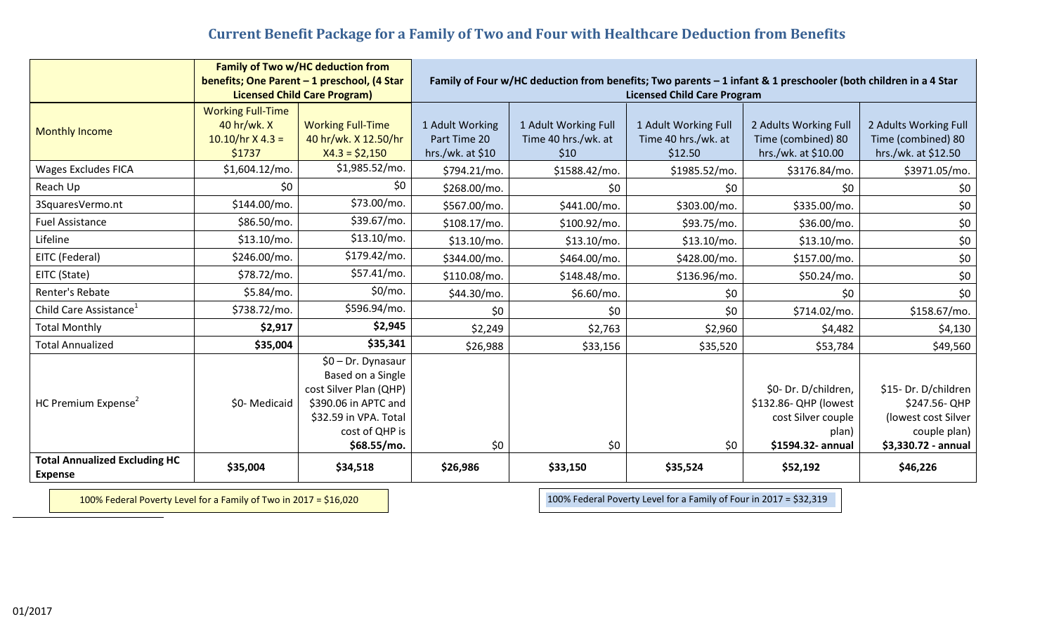## **Current Benefit Package for a Family of Two and Four with Healthcare Deduction from Benefits**

|                                                        | <b>Family of Two w/HC deduction from</b>                                           |                          |                                                                                                                                                      |                      |                      |                       |                       |
|--------------------------------------------------------|------------------------------------------------------------------------------------|--------------------------|------------------------------------------------------------------------------------------------------------------------------------------------------|----------------------|----------------------|-----------------------|-----------------------|
|                                                        | benefits; One Parent - 1 preschool, (4 Star<br><b>Licensed Child Care Program)</b> |                          | Family of Four w/HC deduction from benefits; Two parents - 1 infant & 1 preschooler (both children in a 4 Star<br><b>Licensed Child Care Program</b> |                      |                      |                       |                       |
|                                                        | <b>Working Full-Time</b>                                                           |                          |                                                                                                                                                      |                      |                      |                       |                       |
| <b>Monthly Income</b>                                  | 40 hr/wk. X                                                                        | <b>Working Full-Time</b> | 1 Adult Working                                                                                                                                      | 1 Adult Working Full | 1 Adult Working Full | 2 Adults Working Full | 2 Adults Working Full |
|                                                        | $10.10/hr$ X 4.3 =                                                                 | 40 hr/wk. X 12.50/hr     | Part Time 20                                                                                                                                         | Time 40 hrs./wk. at  | Time 40 hrs./wk. at  | Time (combined) 80    | Time (combined) 80    |
|                                                        | \$1737                                                                             | $X4.3 = $2,150$          | hrs./wk. at $$10$                                                                                                                                    | \$10                 | \$12.50              | hrs./wk. at \$10.00   | hrs./wk. at \$12.50   |
| <b>Wages Excludes FICA</b>                             | \$1,604.12/mo.                                                                     | \$1,985.52/mo.           | \$794.21/mo.                                                                                                                                         | \$1588.42/mo.        | \$1985.52/mo.        | \$3176.84/mo.         | \$3971.05/mo.         |
| Reach Up                                               | \$0                                                                                | \$0                      | \$268.00/mo.                                                                                                                                         | \$0                  | \$0                  | \$0                   | \$0                   |
| 3SquaresVermo.nt                                       | \$144.00/mo.                                                                       | \$73.00/mo.              | \$567.00/mo.                                                                                                                                         | \$441.00/mo.         | \$303.00/mo.         | \$335.00/mo.          | \$0                   |
| <b>Fuel Assistance</b>                                 | \$86.50/mo.                                                                        | \$39.67/mo.              | \$108.17/mo.                                                                                                                                         | \$100.92/mo.         | \$93.75/mo.          | \$36.00/mo.           | \$0                   |
| Lifeline                                               | \$13.10/mo.                                                                        | \$13.10/mo.              | \$13.10/mo.                                                                                                                                          | \$13.10/mo.          | \$13.10/mo.          | $$13.10/mol$ .        | \$0                   |
| EITC (Federal)                                         | \$246.00/mo.                                                                       | \$179.42/mo.             | \$344.00/mo.                                                                                                                                         | \$464.00/mo.         | \$428.00/mo.         | \$157.00/mo.          | \$0                   |
| EITC (State)                                           | \$78.72/mo.                                                                        | \$57.41/mo.              | \$110.08/mo.                                                                                                                                         | \$148.48/mo.         | \$136.96/mo.         | \$50.24/mo.           | \$0                   |
| Renter's Rebate                                        | \$5.84/mo.                                                                         | \$0/mo.                  | \$44.30/mo.                                                                                                                                          | \$6.60/mo.           | \$0                  | \$0                   | \$0                   |
| Child Care Assistance <sup>1</sup>                     | \$738.72/mo.                                                                       | \$596.94/mo.             | \$0                                                                                                                                                  | \$0                  | \$0                  | \$714.02/mo.          | \$158.67/mo.          |
| <b>Total Monthly</b>                                   | \$2,917                                                                            | \$2,945                  | \$2,249                                                                                                                                              | \$2,763              | \$2,960              | \$4,482               | \$4,130               |
| <b>Total Annualized</b>                                | \$35,004                                                                           | \$35,341                 | \$26,988                                                                                                                                             | \$33,156             | \$35,520             | \$53,784              | \$49,560              |
| HC Premium Expense <sup>2</sup>                        |                                                                                    | \$0 - Dr. Dynasaur       |                                                                                                                                                      |                      |                      |                       |                       |
|                                                        |                                                                                    | Based on a Single        |                                                                                                                                                      |                      |                      |                       |                       |
|                                                        | \$0-Medicaid                                                                       | cost Silver Plan (QHP)   |                                                                                                                                                      |                      |                      | \$0- Dr. D/children,  | \$15- Dr. D/children  |
|                                                        |                                                                                    | \$390.06 in APTC and     |                                                                                                                                                      |                      |                      | \$132.86- QHP (lowest | \$247.56-QHP          |
|                                                        |                                                                                    | \$32.59 in VPA. Total    |                                                                                                                                                      |                      |                      | cost Silver couple    | (lowest cost Silver   |
|                                                        |                                                                                    | cost of QHP is           |                                                                                                                                                      |                      |                      | plan)                 | couple plan)          |
|                                                        |                                                                                    | \$68.55/mo.              | \$0                                                                                                                                                  | \$0\$                | \$0                  | \$1594.32- annual     | \$3,330.72 - annual   |
| <b>Total Annualized Excluding HC</b><br><b>Expense</b> | \$35,004                                                                           | \$34,518                 | \$26,986                                                                                                                                             | \$33,150             | \$35,524             | \$52,192              | \$46,226              |

100% Federal Poverty Level for a Family of Two in 2017 = \$16,020 100% Federal Poverty Level for a Family of Four in 2017 = \$32,319

 $\overline{a}$